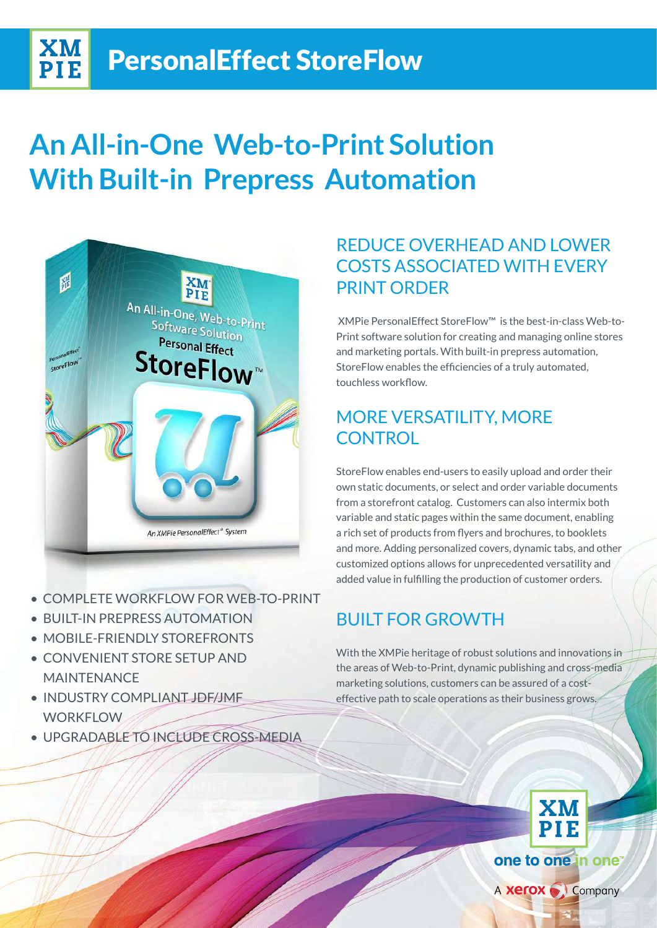# **An All-in-One Web-to-Print Solution With Built-in Prepress Automation**



XM **PIE** 

- **COMPLETE WORKELOW FOR WEB-TO-PRINT**
- BUILT-IN PREPRESS AUTOMATION
- MOBILE-FRIENDLY STORFFRONTS
- CONVENIENT STORE SETUP AND MAINTENANCE
- INDUSTRY COMPLIANT JDF/JMF **WORKFLOW**
- · UPGRADABLE TO INCLUDE CROSS-MEDIA

## REDUCE OVERHEAD AND LOWER COSTS ASSOCIATED WITH FVFRY PRINT ORDER

Print software solution for creating and managing online stores XMPie PersonalEffect StoreFlow<sup>™</sup> is the best-in-class Web-toand marketing portals. With built-in prepress automation, StoreFlow enables the efficiencies of a truly automated, touchless workflow.

## MORE VERSATILITY, MORE **CONTROL**

StoreFlow enables end-users to easily upload and order their own static documents, or select and order variable documents from a storefront catalog. Customers can also intermix both variable and static pages within the same document, enabling a rich set of products from flyers and brochures, to booklets and more. Adding personalized covers, dynamic tabs, and other customized options allows for unprecedented versatility and added value in fulfilling the production of customer orders.

## **BUILT FOR GROWTH**

With the XMPie heritage of robust solutions and innovations in the areas of Web-to-Print, dynamic publishing and cross-mediaeffective path to scale operations as their business grows. marketing solutions, customers can be assured of a cost-

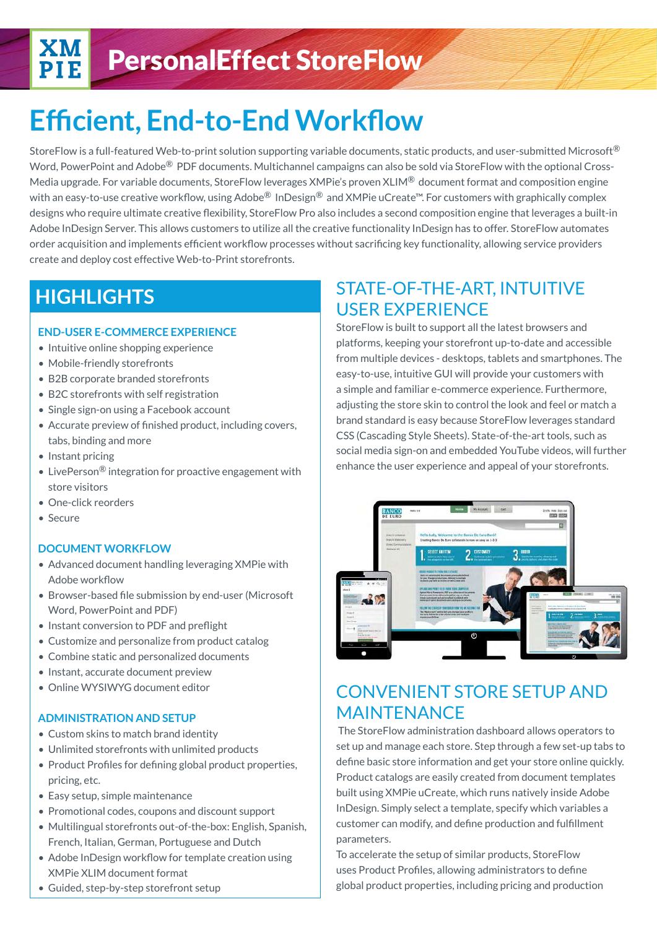# **Efficient, End-to-End Workflow**

StoreFlow is a full-featured Web-to-print solution supporting variable documents, static products, and user-submitted Microsoft  $\mathbb{B}$ Media upgrade. For variable documents, StoreFlow leverages XMPie's proven XLIM<sup>®</sup> document format and composition engine Word, PowerPoint and Adobe<sup>®</sup> PDF documents. Multichannel campaigns can also be sold via StoreFlow with the optional Crosswith an easy-to-use creative workflow, using Adobe <sup>®</sup> InDesign<sup>®</sup> and XMPie uCreate<sup> $M$ </sup>. For customers with graphically complex designs who require ultimate creative flexibility, StoreFlow Pro also includes a second composition engine that leverages a built-in Adobe InDesign Server. This allows customers to utilize all the creative functionality InDesign has to offer. StoreFlow automates order acquisition and implements efficient workflow processes without sacrificing key functionality, allowing service providers create and deploy cost effective Web-to-Print storefronts.

## **HIGHLIGHTS**

### **END-USER E-COMMERCE EXPERIENCE**

- **•** Intuitive online shopping experience
- **Mobile-friendly storefronts**
- B2B corporate branded storefronts
- B2C storefronts with self registration
- Single sign-on using a Facebook account
- Accurate preview of finished product, including covers, tabs, binding and more
- Instant pricing
- LivePerson<sup>®</sup> integration for proactive engagement with store visitors
- One-click reorders
- Secure

### **DOCUMENT WORKFLOW**

- Advanced document handling leveraging XMPie with Adobe workflow
- **Browser-based file submission by end-user (Microsoft** Word, PowerPoint and PDF)
- **Instant conversion to PDF and preflight**
- **Customize and personalize from product catalog**
- Combine static and personalized documents
- **Instant**, accurate document preview
- **e** Online WYSIWYG document editor

### **ADMINISTRATION AND SETUP**

- Custom skins to match brand identity
- Unlimited storefronts with unlimited products
- Product Profiles for defining global product properties, pricing, etc.
- Easy setup, simple maintenance
- Promotional codes, coupons and discount support
- Multilingual storefronts out-of-the-box: English, Spanish, French, Italian, German, Portuguese and Dutch
- Adobe InDesign workflow for template creation using **XMPie XLIM document format**
- **Guided, step-by-step storefront setup**

## **STATE-OF-THE-ART, INTUITIVE** USER EXPERIENCE

StoreFlow is built to support all the latest browsers and platforms, keeping your storefront up-to-date and accessible from multiple devices - desktops, tablets and smartphones. The easy-to-use, intuitive GUI will provide your customers with a simple and familiar e-commerce experience. Furthermore, adjusting the store skin to control the look and feel or match a brand standard is easy because StoreFlow leverages standard CSS (Cascading Style Sheets). State-of-the-art tools, such as social media sign-on and embedded YouTube videos, will further enhance the user experience and appeal of your storefronts.



## CONVENIENT STORE SETUP AND MAINTENANCE

The StoreFlow administration dashboard allows operators to set up and manage each store. Step through a few set-up tabs to define basic store information and get your store online quickly. Product catalogs are easily created from document templates built using XMPie uCreate, which runs natively inside Adobe InDesign. Simply select a template, specify which variables a customer can modify, and define production and fulfillment .parameters

To accelerate the setup of similar products, StoreFlow uses Product Profiles, allowing administrators to define global product properties, including pricing and production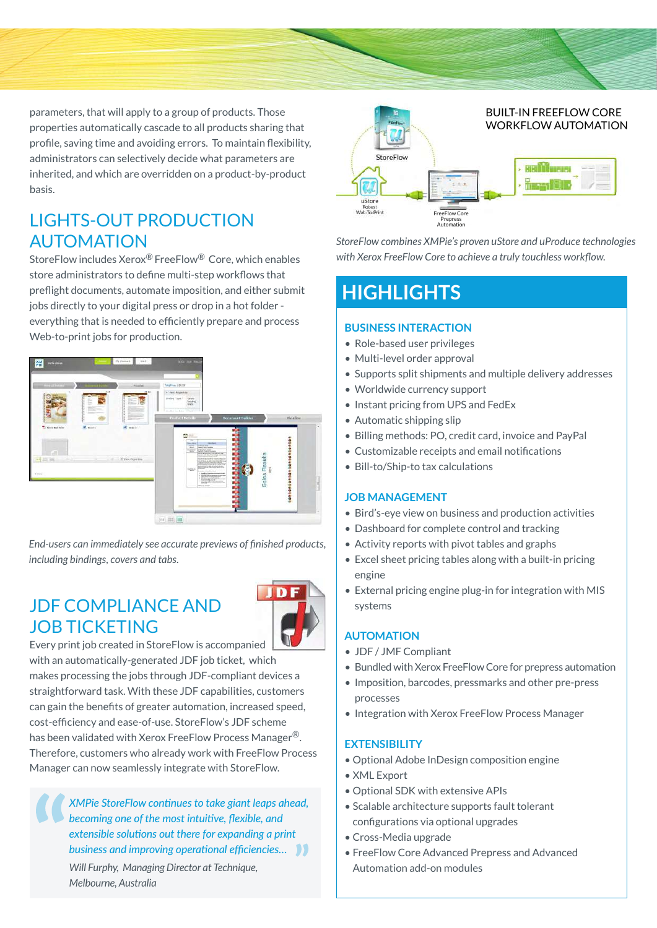

parameters, that will apply to a group of products. Those properties automatically cascade to all products sharing that profile, saving time and avoiding errors. To maintain flexibility, administrators can selectively decide what parameters are inherited, and which are overridden on a product-by-product .basis

## LIGHTS-OUT PRODUCTION AUTOMATION

StoreFlow includes Xerox<sup>®</sup> FreeFlow<sup>®</sup> Core, which enables store administrators to define multi-step workflows that preflight documents, automate imposition, and either submit jobs directly to your digital press or drop in a hot folder everything that is needed to efficiently prepare and process Web-to-print jobs for production.



*<i>End-users can immediately see accurate previews of finished products, including bindings, covers and tabs.* 

## **JDF COMPLIANCE AND JOB TICKETING**



Every print job created in StoreFlow is accompanied with an automatically-generated JDF job ticket, which makes processing the jobs through JDF-compliant devices a straightforward task. With these JDF capabilities, customers can gain the benefits of greater automation, increased speed, cost-efficiency and ease-of-use. StoreFlow's JDF scheme has been validated with Xerox FreeFlow Process Manager<sup>®</sup>. Therefore, customers who already work with FreeFlow Process Manager can now seamlessly integrate with StoreFlow.

*XMPie StoreFlow continues to take giant leaps ahead, becoming one of the most intuitive, flexible, and extensible solutions out there for expanding a print* **business and improving operational efficiencies... 11** *Will Furphy, Managing Director at Technique, Australia ,Melbourne*



**StoreFlow combines XMPie's proven uStore and uProduce technologies** with Xerox FreeFlow Core to achieve a truly touchless workflow.

## **HIGHLIGHTS**

### **BUSINESS INTERACTION**

- Role-based user privileges
- Multi-level order approval
- Supports split shipments and multiple delivery addresses
- Worldwide currency support
- **Instant pricing from UPS and FedEx**
- Automatic shipping slip
- **Billing methods: PO, credit card, invoice and PayPal**
- Customizable receipts and email notifications
- Bill-to/Ship-to tax calculations

### **JOB MANAGEMENT**

- Bird's-eye view on business and production activities
- Dashboard for complete control and tracking
- Activity reports with pivot tables and graphs
- **Excel sheet pricing tables along with a built-in pricing** engine
- External pricing engine plug-in for integration with MIS systems

### **AUTOMATION**

- JDF / JMF Compliant
- **Bundled with Xerox FreeFlow Core for prepress automation**
- Imposition, barcodes, pressmarks and other pre-press processes
- **Integration with Xerox FreeFlow Process Manager**

### **EXTENSIBILITY**

- Optional Adobe InDesign composition engine
- XML Export
- Optional SDK with extensive APIs
- Scalable architecture supports fault tolerant configurations via optional upgrades
- Cross-Media upgrade
- FreeFlow Core Advanced Prepress and Advanced Automation add-on modules